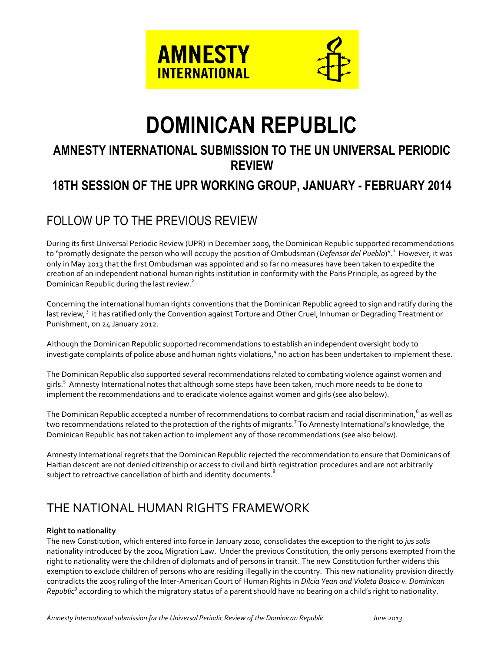

# **DOMINICAN REPUBLIC**

### **AMNESTY INTERNATIONAL SUBMISSION TO THE UN UNIVERSAL PERIODIC REVIEW**

## **18TH SESSION OF THE UPR WORKING GROUP, JANUARY - FEBRUARY 2014**

# FOLLOW UP TO THE PREVIOUS REVIEW

During its first Universal Periodic Review (UPR) in December 2009, the Dominican Republic supported recommendations to "promptly designate the person who will occupy the position of Ombudsman (*Defensor del Pueblo*)".<sup>1</sup> However, it was only in May 2013 that the first Ombudsman was appointed and so far no measures have been taken to expedite the creation of an independent national human rights institution in conformity with the Paris Principle, as agreed by the Dominican Republic during the last review.<sup>2</sup>

Concerning the international human rights conventions that the Dominican Republic agreed to sign and ratify during the last review,<sup>3</sup> it has ratified only the Convention against Torture and Other Cruel, Inhuman or Degrading Treatment or Punishment, on 24 January 2012.

Although the Dominican Republic supported recommendations to establish an independent oversight body to investigate complaints of police abuse and human rights violations,  $4$  no action has been undertaken to implement these.

The Dominican Republic also supported several recommendations related to combating violence against women and girls.<sup>5</sup> Amnesty International notes that although some steps have been taken, much more needs to be done to implement the recommendations and to eradicate violence against women and girls (see also below).

The Dominican Republic accepted a number of recommendations to combat racism and racial discrimination, $^6$  as well as two recommendations related to the protection of the rights of migrants.<sup>7</sup> To Amnesty International's knowledge, the Dominican Republic has not taken action to implement any of those recommendations (see also below).

Amnesty International regrets that the Dominican Republic rejected the recommendation to ensure that Dominicans of Haitian descent are not denied citizenship or access to civil and birth registration procedures and are not arbitrarily subject to retroactive cancellation of birth and identity documents.<sup>8</sup>

# THE NATIONAL HUMAN RIGHTS FRAMEWORK

#### **Right to nationality**

The new Constitution, which entered into force in January 2010, consolidates the exception to the right to *jus solis* nationality introduced by the 2004 Migration Law. Under the previous Constitution, the only persons exempted from the right to nationality were the children of diplomats and of persons in transit. The new Constitution further widens this exemption to exclude children of persons who are residing illegally in the country. This new nationality provision directly contradicts the 2005 ruling of the Inter-American Court of Human Rights in *Dilcia Yean and Violeta Bosico v. Dominican Republic<sup>9</sup>* according to which the migratory status of a parent should have no bearing on a child's right to nationality.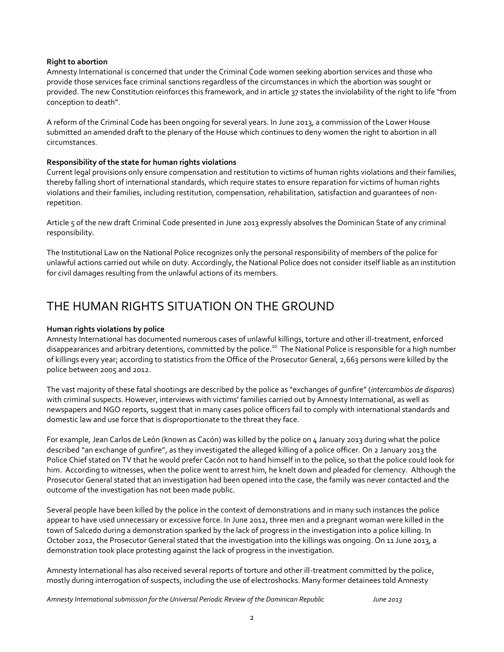#### **Right to abortion**

Amnesty International is concerned that under the Criminal Code women seeking abortion services and those who provide those services face criminal sanctions regardless of the circumstances in which the abortion was sought or provided. The new Constitution reinforces this framework, and in article 37 states the inviolability of the right to life "from conception to death".

A reform of the Criminal Code has been ongoing for several years. In June 2013, a commission of the Lower House submitted an amended draft to the plenary of the House which continues to deny women the right to abortion in all circumstances.

#### **Responsibility of the state for human rights violations**

Current legal provisions only ensure compensation and restitution to victims of human rights violations and their families, thereby falling short of international standards, which require states to ensure reparation for victims of human rights violations and their families, including restitution, compensation, rehabilitation, satisfaction and guarantees of nonrepetition.

Article 5 of the new draft Criminal Code presented in June 2013 expressly absolves the Dominican State of any criminal responsibility.

The Institutional Law on the National Police recognizes only the personal responsibility of members of the police for unlawful actions carried out while on duty. Accordingly, the National Police does not consider itself liable as an institution for civil damages resulting from the unlawful actions of its members.

### THE HUMAN RIGHTS SITUATION ON THE GROUND

#### **Human rights violations by police**

Amnesty International has documented numerous cases of unlawful killings, torture and other ill-treatment, enforced disappearances and arbitrary detentions, committed by the police.<sup>10</sup> The National Police is responsible for a high number of killings every year; according to statistics from the Office of the Prosecutor General, 2,663 persons were killed by the police between 2005 and 2012.

The vast majority of these fatal shootings are described by the police as "exchanges of gunfire" (*intercambios de disparos*) with criminal suspects. However, interviews with victims' families carried out by Amnesty International, as well as newspapers and NGO reports, suggest that in many cases police officers fail to comply with international standards and domestic law and use force that is disproportionate to the threat they face.

For example, Jean Carlos de León (known as Cacón) was killed by the police on 4 January 2013 during what the police described "an exchange of gunfire", as they investigated the alleged killing of a police officer. On 2 January 2013 the Police Chief stated on TV that he would prefer Cacón not to hand himself in to the police, so that the police could look for him. According to witnesses, when the police went to arrest him, he knelt down and pleaded for clemency. Although the Prosecutor General stated that an investigation had been opened into the case, the family was never contacted and the outcome of the investigation has not been made public.

Several people have been killed by the police in the context of demonstrations and in many such instances the police appear to have used unnecessary or excessive force. In June 2012, three men and a pregnant woman were killed in the town of Salcedo during a demonstration sparked by the lack of progress in the investigation into a police killing. In October 2012, the Prosecutor General stated that the investigation into the killings was ongoing. On 11 June 2013, a demonstration took place protesting against the lack of progress in the investigation.

Amnesty International has also received several reports of torture and other ill-treatment committed by the police, mostly during interrogation of suspects, including the use of electroshocks. Many former detainees told Amnesty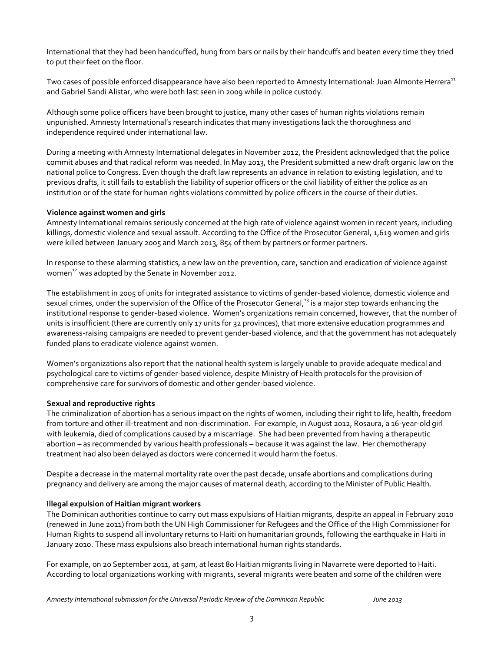International that they had been handcuffed, hung from bars or nails by their handcuffs and beaten every time they tried to put their feet on the floor.

Two cases of possible enforced disappearance have also been reported to Amnesty International: Juan Almonte Herrera<sup>11</sup> and Gabriel Sandi Alistar, who were both last seen in 2009 while in police custody.

Although some police officers have been brought to justice, many other cases of human rights violations remain unpunished. Amnesty International's research indicates that many investigations lack the thoroughness and independence required under international law.

During a meeting with Amnesty International delegates in November 2012, the President acknowledged that the police commit abuses and that radical reform was needed. In May 2013, the President submitted a new draft organic law on the national police to Congress. Even though the draft law represents an advance in relation to existing legislation, and to previous drafts, it still fails to establish the liability of superior officers or the civil liability of either the police as an institution or of the state for human rights violations committed by police officers in the course of their duties.

#### **Violence against women and girls**

Amnesty International remains seriously concerned at the high rate of violence against women in recent years, including killings, domestic violence and sexual assault. According to the Office of the Prosecutor General, 1,619 women and girls were killed between January 2005 and March 2013, 854 of them by partners or former partners.

In response to these alarming statistics, a new law on the prevention, care, sanction and eradication of violence against women<sup>12</sup> was adopted by the Senate in November 2012.

The establishment in 2005 of units for integrated assistance to victims of gender-based violence, domestic violence and sexual crimes, under the supervision of the Office of the Prosecutor General,<sup>13</sup> is a major step towards enhancing the institutional response to gender-based violence. Women's organizations remain concerned, however, that the number of units is insufficient (there are currently only 17 units for 32 provinces), that more extensive education programmes and awareness-raising campaigns are needed to prevent gender-based violence, and that the government has not adequately funded plans to eradicate violence against women.

Women's organizations also report that the national health system is largely unable to provide adequate medical and psychological care to victims of gender-based violence, despite Ministry of Health protocols for the provision of comprehensive care for survivors of domestic and other gender-based violence.

#### **Sexual and reproductive rights**

The criminalization of abortion has a serious impact on the rights of women, including their right to life, health, freedom from torture and other ill-treatment and non-discrimination. For example, in August 2012, Rosaura, a 16-year-old girl with leukemia, died of complications caused by a miscarriage. She had been prevented from having a therapeutic abortion – as recommended by various health professionals – because it was against the law. Her chemotherapy treatment had also been delayed as doctors were concerned it would harm the foetus.

Despite a decrease in the maternal mortality rate over the past decade, unsafe abortions and complications during pregnancy and delivery are among the major causes of maternal death, according to the Minister of Public Health.

#### **Illegal expulsion of Haitian migrant workers**

The Dominican authorities continue to carry out mass expulsions of Haitian migrants, despite an appeal in February 2010 (renewed in June 2011) from both the UN High Commissioner for Refugees and the Office of the High Commissioner for Human Rights to suspend all involuntary returns to Haiti on humanitarian grounds, following the earthquake in Haiti in January 2010. These mass expulsions also breach international human rights standards.

For example, on 20 September 2011, at 5am, at least 80 Haitian migrants living in Navarrete were deported to Haiti. According to local organizations working with migrants, several migrants were beaten and some of the children were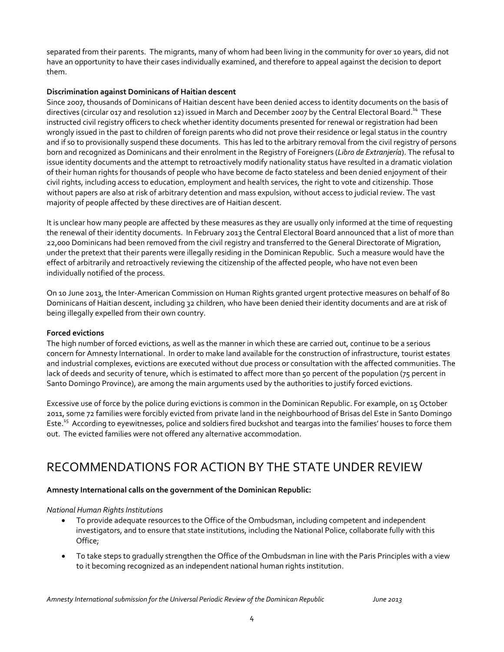separated from their parents. The migrants, many of whom had been living in the community for over 10 years, did not have an opportunity to have their cases individually examined, and therefore to appeal against the decision to deport them.

#### **Discrimination against Dominicans of Haitian descent**

Since 2007, thousands of Dominicans of Haitian descent have been denied access to identity documents on the basis of directives (circular 017 and resolution 12) issued in March and December 2007 by the Central Electoral Board.<sup>14</sup> These instructed civil registry officers to check whether identity documents presented for renewal or registration had been wrongly issued in the past to children of foreign parents who did not prove their residence or legal status in the country and if so to provisionally suspend these documents. This has led to the arbitrary removal from the civil registry of persons born and recognized as Dominicans and their enrolment in the Registry of Foreigners (*Libro de Extranjería*). The refusal to issue identity documents and the attempt to retroactively modify nationality status have resulted in a dramatic violation of their human rights for thousands of people who have become de facto stateless and been denied enjoyment of their civil rights, including access to education, employment and health services, the right to vote and citizenship. Those without papers are also at risk of arbitrary detention and mass expulsion, without access to judicial review. The vast majority of people affected by these directives are of Haitian descent.

It is unclear how many people are affected by these measures as they are usually only informed at the time of requesting the renewal of their identity documents. In February 2013 the Central Electoral Board announced that a list of more than 22,000 Dominicans had been removed from the civil registry and transferred to the General Directorate of Migration, under the pretext that their parents were illegally residing in the Dominican Republic. Such a measure would have the effect of arbitrarily and retroactively reviewing the citizenship of the affected people, who have not even been individually notified of the process.

On 10 June 2013, the Inter-American Commission on Human Rights granted urgent protective measures on behalf of 80 Dominicans of Haitian descent, including 32 children, who have been denied their identity documents and are at risk of being illegally expelled from their own country.

#### **Forced evictions**

The high number of forced evictions, as well as the manner in which these are carried out, continue to be a serious concern for Amnesty International. In order to make land available for the construction of infrastructure, tourist estates and industrial complexes, evictions are executed without due process or consultation with the affected communities. The lack of deeds and security of tenure, which is estimated to affect more than 50 percent of the population (75 percent in Santo Domingo Province), are among the main arguments used by the authorities to justify forced evictions.

Excessive use of force by the police during evictions is common in the Dominican Republic. For example, on 15 October 2011, some 72 families were forcibly evicted from private land in the neighbourhood of Brisas del Este in Santo Domingo Este.<sup>15</sup> According to eyewitnesses, police and soldiers fired buckshot and teargas into the families' houses to force them out. The evicted families were not offered any alternative accommodation.

### RECOMMENDATIONS FOR ACTION BY THE STATE UNDER REVIEW

#### **Amnesty International calls on the government of the Dominican Republic:**

#### *National Human Rights Institutions*

- To provide adequate resources to the Office of the Ombudsman, including competent and independent investigators, and to ensure that state institutions, including the National Police, collaborate fully with this Office;
- To take steps to gradually strengthen the Office of the Ombudsman in line with the Paris Principles with a view to it becoming recognized as an independent national human rights institution.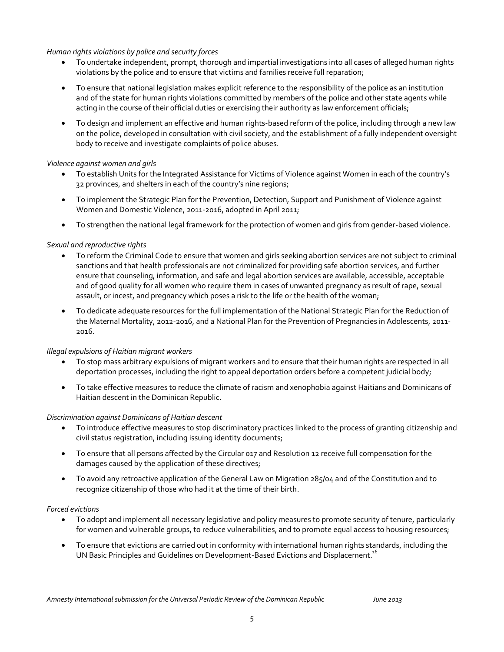#### *Human rights violations by police and security forces*

- To undertake independent, prompt, thorough and impartial investigations into all cases of alleged human rights violations by the police and to ensure that victims and families receive full reparation;
- To ensure that national legislation makes explicit reference to the responsibility of the police as an institution and of the state for human rights violations committed by members of the police and other state agents while acting in the course of their official duties or exercising their authority as law enforcement officials;
- To design and implement an effective and human rights-based reform of the police, including through a new law on the police, developed in consultation with civil society, and the establishment of a fully independent oversight body to receive and investigate complaints of police abuses.

#### *Violence against women and girls*

- To establish Units for the Integrated Assistance for Victims of Violence against Women in each of the country's 32 provinces, and shelters in each of the country's nine regions;
- To implement the Strategic Plan for the Prevention, Detection, Support and Punishment of Violence against Women and Domestic Violence, 2011-2016, adopted in April 2011;
- To strengthen the national legal framework for the protection of women and girls from gender-based violence.

#### *Sexual and reproductive rights*

- To reform the Criminal Code to ensure that women and girls seeking abortion services are not subject to criminal sanctions and that health professionals are not criminalized for providing safe abortion services, and further ensure that counseling, information, and safe and legal abortion services are available, accessible, acceptable and of good quality for all women who require them in cases of unwanted pregnancy as result of rape, sexual assault, or incest, and pregnancy which poses a risk to the life or the health of the woman;
- To dedicate adequate resources for the full implementation of the National Strategic Plan for the Reduction of the Maternal Mortality, 2012-2016, and a National Plan for the Prevention of Pregnancies in Adolescents, 2011- 2016.

#### *Illegal expulsions of Haitian migrant workers*

- To stop mass arbitrary expulsions of migrant workers and to ensure that their human rights are respected in all deportation processes, including the right to appeal deportation orders before a competent judicial body;
- To take effective measures to reduce the climate of racism and xenophobia against Haitians and Dominicans of Haitian descent in the Dominican Republic.

#### *Discrimination against Dominicans of Haitian descent*

- To introduce effective measures to stop discriminatory practices linked to the process of granting citizenship and civil status registration, including issuing identity documents;
- To ensure that all persons affected by the Circular 017 and Resolution 12 receive full compensation for the damages caused by the application of these directives;
- To avoid any retroactive application of the General Law on Migration 285/04 and of the Constitution and to recognize citizenship of those who had it at the time of their birth.

#### *Forced evictions*

- To adopt and implement all necessary legislative and policy measures to promote security of tenure, particularly for women and vulnerable groups, to reduce vulnerabilities, and to promote equal access to housing resources;
- To ensure that evictions are carried out in conformity with international human rights standards, including the UN Basic Principles and Guidelines on Development-Based Evictions and Displacement.<sup>16</sup>